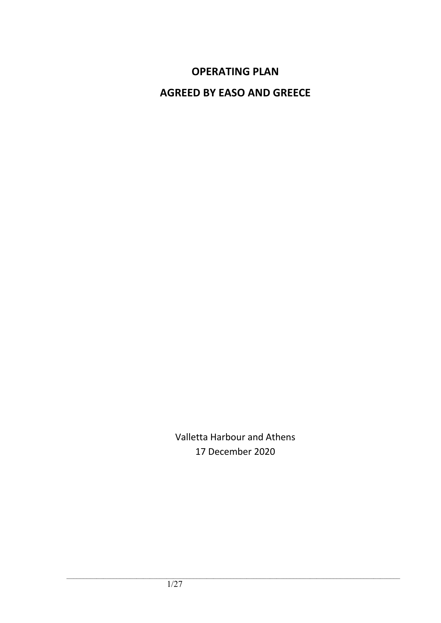# **OPERATING PLAN**

**AGREED BY EASO AND GREECE**

Valletta Harbour and Athens 17 December 2020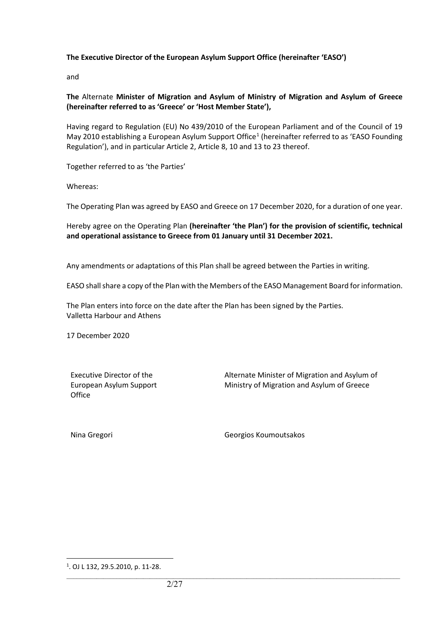#### **The Executive Director of the European Asylum Support Office (hereinafter 'EASO')**

and

#### **The** Alternate **Minister of Migration and Asylum of Ministry of Migration and Asylum of Greece (hereinafter referred to as 'Greece' or 'Host Member State'),**

Having regard to Regulation (EU) No 439/2010 of the European Parliament and of the Council of 19 May 20[1](#page-1-0)0 establishing a European Asylum Support Office<sup>1</sup> (hereinafter referred to as 'EASO Founding Regulation'), and in particular Article 2, Article 8, 10 and 13 to 23 thereof.

Together referred to as 'the Parties'

Whereas:

The Operating Plan was agreed by EASO and Greece on 17 December 2020, for a duration of one year.

Hereby agree on the Operating Plan **(hereinafter 'the Plan') for the provision of scientific, technical and operational assistance to Greece from 01 January until 31 December 2021.**

Any amendments or adaptations of this Plan shall be agreed between the Parties in writing.

EASO shall share a copy of the Plan with the Members of the EASO Management Board for information.

The Plan enters into force on the date after the Plan has been signed by the Parties. Valletta Harbour and Athens

17 December 2020

Executive Director of the European Asylum Support **Office** 

Alternate Minister of Migration and Asylum of Ministry of Migration and Asylum of Greece

Nina Gregori Georgios Koumoutsakos

 $\overline{a}$ 

<span id="page-1-0"></span><sup>1</sup> . OJ L 132, 29.5.2010, p. 11-28.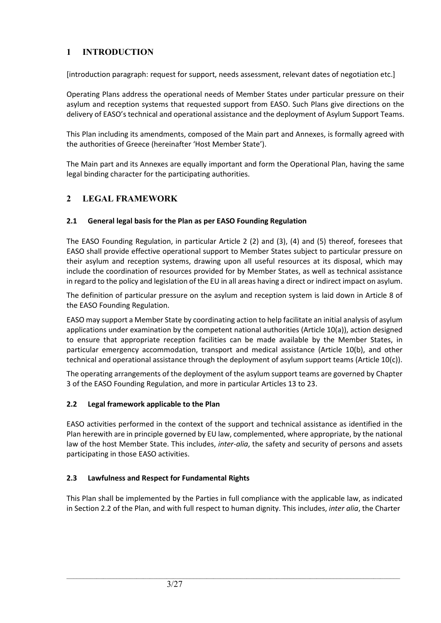# **1 INTRODUCTION**

[introduction paragraph: request for support, needs assessment, relevant dates of negotiation etc.]

Operating Plans address the operational needs of Member States under particular pressure on their asylum and reception systems that requested support from EASO. Such Plans give directions on the delivery of EASO's technical and operational assistance and the deployment of Asylum Support Teams.

This Plan including its amendments, composed of the Main part and Annexes, is formally agreed with the authorities of Greece (hereinafter 'Host Member State').

The Main part and its Annexes are equally important and form the Operational Plan, having the same legal binding character for the participating authorities.

# **2 LEGAL FRAMEWORK**

### **2.1 General legal basis for the Plan as per EASO Founding Regulation**

The EASO Founding Regulation, in particular Article 2 (2) and (3), (4) and (5) thereof, foresees that EASO shall provide effective operational support to Member States subject to particular pressure on their asylum and reception systems, drawing upon all useful resources at its disposal, which may include the coordination of resources provided for by Member States, as well as technical assistance in regard to the policy and legislation of the EU in all areas having a direct or indirect impact on asylum.

The definition of particular pressure on the asylum and reception system is laid down in Article 8 of the EASO Founding Regulation.

EASO may support a Member State by coordinating action to help facilitate an initial analysis of asylum applications under examination by the competent national authorities (Article 10(a)), action designed to ensure that appropriate reception facilities can be made available by the Member States, in particular emergency accommodation, transport and medical assistance (Article 10(b), and other technical and operational assistance through the deployment of asylum support teams (Article 10(c)).

The operating arrangements of the deployment of the asylum support teams are governed by Chapter 3 of the EASO Founding Regulation, and more in particular Articles 13 to 23.

### **2.2 Legal framework applicable to the Plan**

EASO activities performed in the context of the support and technical assistance as identified in the Plan herewith are in principle governed by EU law, complemented, where appropriate, by the national law of the host Member State. This includes, *inter-alia*, the safety and security of persons and assets participating in those EASO activities.

# **2.3 Lawfulness and Respect for Fundamental Rights**

This Plan shall be implemented by the Parties in full compliance with the applicable law, as indicated in Section 2.2 of the Plan, and with full respect to human dignity. This includes, *inter alia*, the Charter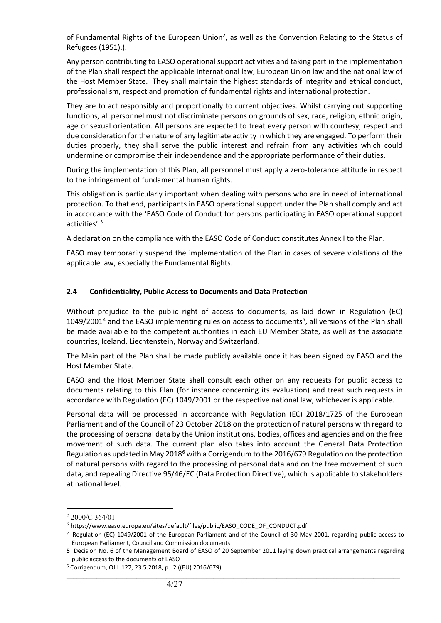of Fundamental Rights of the European Union<sup>[2](#page-3-0)</sup>, as well as the Convention Relating to the Status of Refugees (1951).).

Any person contributing to EASO operational support activities and taking part in the implementation of the Plan shall respect the applicable International law, European Union law and the national law of the Host Member State. They shall maintain the highest standards of integrity and ethical conduct, professionalism, respect and promotion of fundamental rights and international protection.

They are to act responsibly and proportionally to current objectives. Whilst carrying out supporting functions, all personnel must not discriminate persons on grounds of sex, race, religion, ethnic origin, age or sexual orientation. All persons are expected to treat every person with courtesy, respect and due consideration for the nature of any legitimate activity in which they are engaged. To perform their duties properly, they shall serve the public interest and refrain from any activities which could undermine or compromise their independence and the appropriate performance of their duties.

During the implementation of this Plan, all personnel must apply a zero-tolerance attitude in respect to the infringement of fundamental human rights.

This obligation is particularly important when dealing with persons who are in need of international protection. To that end, participants in EASO operational support under the Plan shall comply and act in accordance with the 'EASO Code of Conduct for persons participating in EASO operational support activities'. [3](#page-3-1)

A declaration on the compliance with the EASO Code of Conduct constitutes Annex I to the Plan.

EASO may temporarily suspend the implementation of the Plan in cases of severe violations of the applicable law, especially the Fundamental Rights.

#### **2.4 Confidentiality, Public Access to Documents and Data Protection**

Without prejudice to the public right of access to documents, as laid down in Regulation (EC)  $1049/2001<sup>4</sup>$  $1049/2001<sup>4</sup>$  $1049/2001<sup>4</sup>$  and the EASO implementing rules on access to documents<sup>[5](#page-3-3)</sup>, all versions of the Plan shall be made available to the competent authorities in each EU Member State, as well as the associate countries, Iceland, Liechtenstein, Norway and Switzerland.

The Main part of the Plan shall be made publicly available once it has been signed by EASO and the Host Member State.

EASO and the Host Member State shall consult each other on any requests for public access to documents relating to this Plan (for instance concerning its evaluation) and treat such requests in accordance with Regulation (EC) 1049/2001 or the respective national law, whichever is applicable.

Personal data will be processed in accordance with Regulation (EC) 2018/1725 of the European Parliament and of the Council of 23 October 2018 on the protection of natural persons with regard to the processing of personal data by the Union institutions, bodies, offices and agencies and on the free movement of such data. The current plan also takes into account the General Data Protection Regulation as updated in May 2018 $<sup>6</sup>$  $<sup>6</sup>$  $<sup>6</sup>$  with a Corrigendum to the 2016/679 Regulation on the protection</sup> of natural persons with regard to the processing of personal data and on the free movement of such data, and repealing Directive 95/46/EC (Data Protection Directive), which is applicable to stakeholders at national level.

<span id="page-3-0"></span> $2000/C$  364/01

<span id="page-3-1"></span><sup>&</sup>lt;sup>3</sup> https://www.easo.europa.eu/sites/default/files/public/EASO\_CODE\_OF\_CONDUCT.pdf

<span id="page-3-2"></span><sup>4</sup> Regulation (EC) 1049/2001 of the European Parliament and of the Council of 30 May 2001, regarding public access to European Parliament, Council and Commission documents

<span id="page-3-3"></span><sup>5</sup> Decision No. 6 of the Management Board of EASO of 20 September 2011 laying down practical arrangements regarding public access to the documents of EASO

<span id="page-3-4"></span><sup>6</sup> Corrigendum, OJ L 127, 23.5.2018, p. 2 ((EU) 2016/679)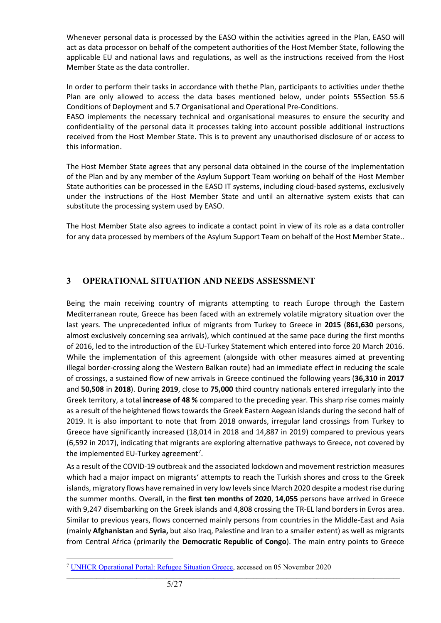Whenever personal data is processed by the EASO within the activities agreed in the Plan, EASO will act as data processor on behalf of the competent authorities of the Host Member State, following the applicable EU and national laws and regulations, as well as the instructions received from the Host Member State as the data controller.

In order to perform their tasks in accordance with thethe Plan, participants to activities under thethe Plan are only allowed to access the data bases mentioned below, under points 55Section 55.6 Conditions of Deployment and 5.7 Organisational and Operational Pre-Conditions.

EASO implements the necessary technical and organisational measures to ensure the security and confidentiality of the personal data it processes taking into account possible additional instructions received from the Host Member State. This is to prevent any unauthorised disclosure of or access to this information.

The Host Member State agrees that any personal data obtained in the course of the implementation of the Plan and by any member of the Asylum Support Team working on behalf of the Host Member State authorities can be processed in the EASO IT systems, including cloud-based systems, exclusively under the instructions of the Host Member State and until an alternative system exists that can substitute the processing system used by EASO.

The Host Member State also agrees to indicate a contact point in view of its role as a data controller for any data processed by members of the Asylum Support Team on behalf of the Host Member State..

# **3 OPERATIONAL SITUATION AND NEEDS ASSESSMENT**

Being the main receiving country of migrants attempting to reach Europe through the Eastern Mediterranean route, Greece has been faced with an extremely volatile migratory situation over the last years. The unprecedented influx of migrants from Turkey to Greece in **2015** (**861,630** persons, almost exclusively concerning sea arrivals), which continued at the same pace during the first months of 2016, led to the introduction of the EU-Turkey Statement which entered into force 20 March 2016. While the implementation of this agreement (alongside with other measures aimed at preventing illegal border-crossing along the Western Balkan route) had an immediate effect in reducing the scale of crossings, a sustained flow of new arrivals in Greece continued the following years (**36,310** in **2017** and **50,508** in **2018**). During **2019**, close to **75,000** third country nationals entered irregularly into the Greek territory, a total **increase of 48 %** compared to the preceding year. This sharp rise comes mainly as a result of the heightened flows towards the Greek Eastern Aegean islands during the second half of 2019. It is also important to note that from 2018 onwards, irregular land crossings from Turkey to Greece have significantly increased (18,014 in 2018 and 14,887 in 2019) compared to previous years (6,592 in 2017), indicating that migrants are exploring alternative pathways to Greece, not covered by the implemented EU-Turkey agreement<sup>[7](#page-4-0)</sup>.

As a result of the COVID-19 outbreak and the associated lockdown and movement restriction measures which had a major impact on migrants' attempts to reach the Turkish shores and cross to the Greek islands, migratory flows have remained in very low levels since March 2020 despite a modest rise during the summer months. Overall, in the **first ten months of 2020**, **14,055** persons have arrived in Greece with 9,247 disembarking on the Greek islands and 4,808 crossing the TR-EL land borders in Evros area. Similar to previous years, flows concerned mainly persons from countries in the Middle-East and Asia (mainly **Afghanistan** and **Syria,** but also Iraq, Palestine and Iran to a smaller extent) as well as migrants from Central Africa (primarily the **Democratic Republic of Congo**). The main entry points to Greece

<span id="page-4-0"></span><sup>&</sup>lt;sup>7</sup> [UNHCR Operational Portal: Refugee Situation Greece,](https://data2.unhcr.org/en/situations/mediterranean/location/5179) accessed on 05 November 2020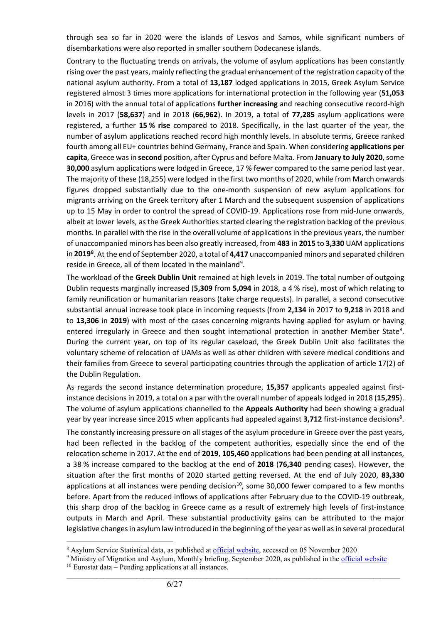through sea so far in 2020 were the islands of Lesvos and Samos, while significant numbers of disembarkations were also reported in smaller southern Dodecanese islands.

Contrary to the fluctuating trends on arrivals, the volume of asylum applications has been constantly rising over the past years, mainly reflecting the gradual enhancement of the registration capacity of the national asylum authority. From a total of **13,187** lodged applications in 2015, Greek Asylum Service registered almost 3 times more applications for international protection in the following year (**51,053** in 2016) with the annual total of applications **further increasing** and reaching consecutive record-high levels in 2017 (**58,637**) and in 2018 (**66,962**). In 2019, a total of **77,285** asylum applications were registered, a further **15 % rise** compared to 2018. Specifically, in the last quarter of the year, the number of asylum applications reached record high monthly levels. In absolute terms, Greece ranked fourth among all EU+ countries behind Germany, France and Spain. When considering **applications per capita**, Greece was in **second** position, after Cyprus and before Malta. From **January to July 2020**, some **30,000** asylum applications were lodged in Greece, 17 % fewer compared to the same period last year. The majority of these (18,255) were lodged in the first two months of 2020, while from March onwards figures dropped substantially due to the one-month suspension of new asylum applications for migrants arriving on the Greek territory after 1 March and the subsequent suspension of applications up to 15 May in order to control the spread of COVID-19. Applications rose from mid-June onwards, albeit at lower levels, as the Greek Authorities started clearing the registration backlog of the previous months. In parallel with the rise in the overall volume of applications in the previous years, the number of unaccompanied minors has been also greatly increased, from **483** in **2015** to **3,330** UAM applications in **2019[8](#page-5-1)** . At the end of September 2020, a total of **4,417** unaccompanied minors and separated children reside in Greece, all of them located in the mainland<sup>[9](#page-5-2)</sup>.

<span id="page-5-0"></span>The workload of the **Greek Dublin Unit** remained at high levels in 2019. The total number of outgoing Dublin requests marginally increased (**5,309** from **5,094** in 2018, a 4 % rise), most of which relating to family reunification or humanitarian reasons (take charge requests). In parallel, a second consecutive substantial annual increase took place in incoming requests (from **2,134** in 2017 to **9,218** in 2018 and to **13,306** in **2019**) with most of the cases concerning migrants having applied for asylum or having entered irregularly in Greece and then sought international protection in another Member State<sup>8</sup>. During the current year, on top of its regular caseload, the Greek Dublin Unit also facilitates the voluntary scheme of relocation of UAMs as well as other children with severe medical conditions and their families from Greece to several participating countries through the application of article 17(2) of the Dublin Regulation.

As regards the second instance determination procedure, **15,357** applicants appealed against firstinstance decisions in 2019, a total on a par with the overall number of appeals lodged in 2018 (**15,295**). The volume of asylum applications channelled to the **Appeals Authority** had been showing a gradual year by year increase since 2015 when applicants had appealed against 3,712 first-instance decisions<sup>8</sup>.

The constantly increasing pressure on all stages of the asylum procedure in Greece over the past years, had been reflected in the backlog of the competent authorities, especially since the end of the relocation scheme in 2017. At the end of **2019**, **105,460** applications had been pending at all instances, a 38 % increase compared to the backlog at the end of **2018** (**76,340** pending cases). However, the situation after the first months of 2020 started getting reversed. At the end of July 2020, **83,330** applications at all instances were pending decision<sup>10</sup>, some 30,000 fewer compared to a few months before. Apart from the reduced inflows of applications after February due to the COVID-19 outbreak, this sharp drop of the backlog in Greece came as a result of extremely high levels of first-instance outputs in March and April. These substantial productivity gains can be attributed to the major legislative changes in asylum law introduced in the beginning of the year as well as in several procedural

<span id="page-5-1"></span> <sup>8</sup> Asylum Service Statistical data, as published at [official website,](https://migration.gov.gr/statistika/) accessed on 05 November 2020

<span id="page-5-3"></span><span id="page-5-2"></span><sup>9</sup> Ministry of Migration and Asylum, Monthly briefing, September 2020, as published in th[e official website](https://www.scribd.com/document/479859865/%CE%95%CE%BD%CE%B7%CE%BC%CE%B5%CF%81%CF%89%CF%84%CE%B9%CE%BA%CF%8C-%CE%A3%CE%B7%CE%BC%CE%B5%CE%AF%CF%89%CE%BC%CE%B1-%CE%A3%CE%B5%CF%80%CF%84%CE%AD%CE%BC%CE%B2%CF%81%CE%B9%CE%BF%CF%82-2020)  $10$  Eurostat data – Pending applications at all instances.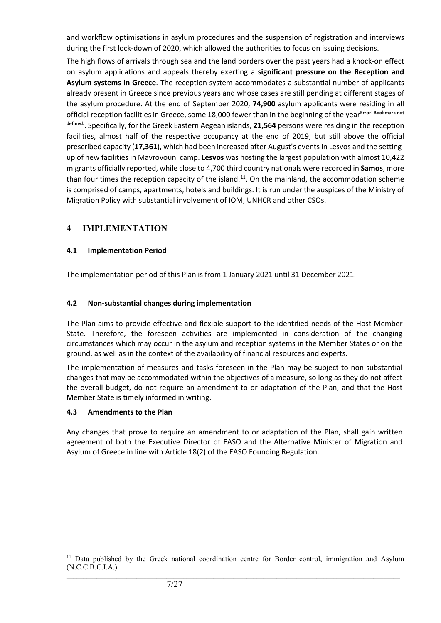and workflow optimisations in asylum procedures and the suspension of registration and interviews during the first lock-down of 2020, which allowed the authorities to focus on issuing decisions.

The high flows of arrivals through sea and the land borders over the past years had a knock-on effect on asylum applications and appeals thereby exerting a **significant pressure on the Reception and Asylum systems in Greece**. The reception system accommodates a substantial number of applicants already present in Greece since previous years and whose cases are still pending at different stages of the asylum procedure. At the end of September 2020, **74,900** asylum applicants were residing in all official reception facilities in Greece, some 18,000 fewer than in the beginning of the year**Error! Bookmark not defined.**. Specifically, for the Greek Eastern Aegean islands, **21,564** persons were residing in the reception facilities, almost half of the respective occupancy at the end of 2019, but still above the official prescribed capacity (**17,361**), which had been increased after August's events in Lesvos and the settingup of new facilities in Mavrovouni camp. **Lesvos** was hosting the largest population with almost 10,422 migrants officially reported, while close to 4,700 third country nationals were recorded in **Samos**, more than four times the reception capacity of the island.<sup>11</sup>. On the mainland, the accommodation scheme is comprised of camps, apartments, hotels and buildings. It is run under the auspices of the Ministry of Migration Policy with substantial involvement of IOM, UNHCR and other CSOs.

# **4 IMPLEMENTATION**

### **4.1 Implementation Period**

The implementation period of this Plan is from 1 January 2021 until 31 December 2021.

### **4.2 Non-substantial changes during implementation**

The Plan aims to provide effective and flexible support to the identified needs of the Host Member State. Therefore, the foreseen activities are implemented in consideration of the changing circumstances which may occur in the asylum and reception systems in the Member States or on the ground, as well as in the context of the availability of financial resources and experts.

The implementation of measures and tasks foreseen in the Plan may be subject to non-substantial changes that may be accommodated within the objectives of a measure, so long as they do not affect the overall budget, do not require an amendment to or adaptation of the Plan, and that the Host Member State is timely informed in writing.

### **4.3 Amendments to the Plan**

Any changes that prove to require an amendment to or adaptation of the Plan, shall gain written agreement of both the Executive Director of EASO and the Alternative Minister of Migration and Asylum of Greece in line with Article 18(2) of the EASO Founding Regulation.

<span id="page-6-0"></span> $\_$  , and the set of the set of the set of the set of the set of the set of the set of the set of the set of the set of the set of the set of the set of the set of the set of the set of the set of the set of the set of th <sup>11</sup> Data published by the Greek national coordination centre for Border control, immigration and Asylum (N.C.C.B.C.I.A.)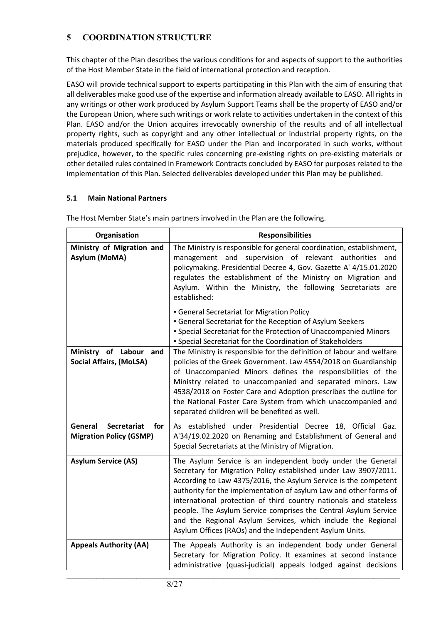# **5 COORDINATION STRUCTURE**

This chapter of the Plan describes the various conditions for and aspects of support to the authorities of the Host Member State in the field of international protection and reception.

EASO will provide technical support to experts participating in this Plan with the aim of ensuring that all deliverables make good use of the expertise and information already available to EASO. All rights in any writings or other work produced by Asylum Support Teams shall be the property of EASO and/or the European Union, where such writings or work relate to activities undertaken in the context of this Plan. EASO and/or the Union acquires irrevocably ownership of the results and of all intellectual property rights, such as copyright and any other intellectual or industrial property rights, on the materials produced specifically for EASO under the Plan and incorporated in such works, without prejudice, however, to the specific rules concerning pre-existing rights on pre-existing materials or other detailed rules contained in Framework Contracts concluded by EASO for purposes related to the implementation of this Plan. Selected deliverables developed under this Plan may be published.

#### **5.1 Main National Partners**

| Organisation                                                           | <b>Responsibilities</b>                                                                                                                                                                                                                                                                                                                                                                                                                                                                                                                   |
|------------------------------------------------------------------------|-------------------------------------------------------------------------------------------------------------------------------------------------------------------------------------------------------------------------------------------------------------------------------------------------------------------------------------------------------------------------------------------------------------------------------------------------------------------------------------------------------------------------------------------|
| Ministry of Migration and<br>Asylum (MoMA)                             | The Ministry is responsible for general coordination, establishment,<br>supervision of relevant authorities<br>management and<br>and<br>policymaking. Presidential Decree 4, Gov. Gazette A' 4/15.01.2020<br>regulates the establishment of the Ministry on Migration and<br>Asylum. Within the Ministry, the following Secretariats are<br>established:                                                                                                                                                                                  |
|                                                                        | • General Secretariat for Migration Policy<br><b>General Secretariat for the Reception of Asylum Seekers</b><br><b>- Special Secretariat for the Protection of Unaccompanied Minors</b><br>· Special Secretariat for the Coordination of Stakeholders                                                                                                                                                                                                                                                                                     |
| Ministry of Labour and<br><b>Social Affairs, (MoLSA)</b>               | The Ministry is responsible for the definition of labour and welfare<br>policies of the Greek Government. Law 4554/2018 on Guardianship<br>of Unaccompanied Minors defines the responsibilities of the<br>Ministry related to unaccompanied and separated minors. Law<br>4538/2018 on Foster Care and Adoption prescribes the outline for<br>the National Foster Care System from which unaccompanied and<br>separated children will be benefited as well.                                                                                |
| General<br><b>Secretariat</b><br>for<br><b>Migration Policy (GSMP)</b> | As established under Presidential Decree 18, Official Gaz.<br>A'34/19.02.2020 on Renaming and Establishment of General and<br>Special Secretariats at the Ministry of Migration.                                                                                                                                                                                                                                                                                                                                                          |
| <b>Asylum Service (AS)</b>                                             | The Asylum Service is an independent body under the General<br>Secretary for Migration Policy established under Law 3907/2011.<br>According to Law 4375/2016, the Asylum Service is the competent<br>authority for the implementation of asylum Law and other forms of<br>international protection of third country nationals and stateless<br>people. The Asylum Service comprises the Central Asylum Service<br>and the Regional Asylum Services, which include the Regional<br>Asylum Offices (RAOs) and the Independent Asylum Units. |
| <b>Appeals Authority (AA)</b>                                          | The Appeals Authority is an independent body under General<br>Secretary for Migration Policy. It examines at second instance<br>administrative (quasi-judicial) appeals lodged against decisions                                                                                                                                                                                                                                                                                                                                          |

 $\_$  , and the set of the set of the set of the set of the set of the set of the set of the set of the set of the set of the set of the set of the set of the set of the set of the set of the set of the set of the set of th

The Host Member State's main partners involved in the Plan are the following.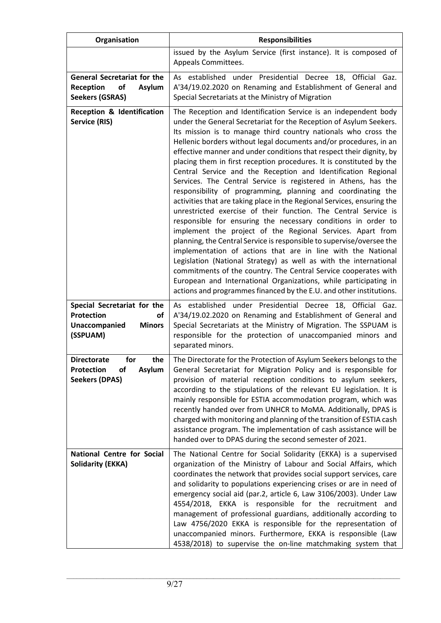| Organisation                                                                                            | <b>Responsibilities</b>                                                                                                                                                                                                                                                                                                                                                                                                                                                                                                                                                                                                                                                                                                                                                                                                                                                                                                                                                                                                                                                                                                                                                                                                                                                                                                                  |
|---------------------------------------------------------------------------------------------------------|------------------------------------------------------------------------------------------------------------------------------------------------------------------------------------------------------------------------------------------------------------------------------------------------------------------------------------------------------------------------------------------------------------------------------------------------------------------------------------------------------------------------------------------------------------------------------------------------------------------------------------------------------------------------------------------------------------------------------------------------------------------------------------------------------------------------------------------------------------------------------------------------------------------------------------------------------------------------------------------------------------------------------------------------------------------------------------------------------------------------------------------------------------------------------------------------------------------------------------------------------------------------------------------------------------------------------------------|
|                                                                                                         | issued by the Asylum Service (first instance). It is composed of<br>Appeals Committees.                                                                                                                                                                                                                                                                                                                                                                                                                                                                                                                                                                                                                                                                                                                                                                                                                                                                                                                                                                                                                                                                                                                                                                                                                                                  |
| <b>General Secretariat for the</b><br><b>Reception</b><br>of<br><b>Asylum</b><br><b>Seekers (GSRAS)</b> | As established under Presidential Decree<br>18, Official<br>Gaz.<br>A'34/19.02.2020 on Renaming and Establishment of General and<br>Special Secretariats at the Ministry of Migration                                                                                                                                                                                                                                                                                                                                                                                                                                                                                                                                                                                                                                                                                                                                                                                                                                                                                                                                                                                                                                                                                                                                                    |
| <b>Reception &amp; Identification</b><br>Service (RIS)                                                  | The Reception and Identification Service is an independent body<br>under the General Secretariat for the Reception of Asylum Seekers.<br>Its mission is to manage third country nationals who cross the<br>Hellenic borders without legal documents and/or procedures, in an<br>effective manner and under conditions that respect their dignity, by<br>placing them in first reception procedures. It is constituted by the<br>Central Service and the Reception and Identification Regional<br>Services. The Central Service is registered in Athens, has the<br>responsibility of programming, planning and coordinating the<br>activities that are taking place in the Regional Services, ensuring the<br>unrestricted exercise of their function. The Central Service is<br>responsible for ensuring the necessary conditions in order to<br>implement the project of the Regional Services. Apart from<br>planning, the Central Service is responsible to supervise/oversee the<br>implementation of actions that are in line with the National<br>Legislation (National Strategy) as well as with the international<br>commitments of the country. The Central Service cooperates with<br>European and International Organizations, while participating in<br>actions and programmes financed by the E.U. and other institutions. |
| Special Secretariat for the<br>Protection<br>οf<br><b>Minors</b><br>Unaccompanied<br>(SSPUAM)           | As established under Presidential Decree 18, Official Gaz.<br>A'34/19.02.2020 on Renaming and Establishment of General and<br>Special Secretariats at the Ministry of Migration. The SSPUAM is<br>responsible for the protection of unaccompanied minors and<br>separated minors.                                                                                                                                                                                                                                                                                                                                                                                                                                                                                                                                                                                                                                                                                                                                                                                                                                                                                                                                                                                                                                                        |
| for<br>the<br><b>Directorate</b><br>Asylum<br><b>Protection</b><br>οf<br><b>Seekers (DPAS)</b>          | The Directorate for the Protection of Asylum Seekers belongs to the<br>General Secretariat for Migration Policy and is responsible for<br>provision of material reception conditions to asylum seekers,<br>according to the stipulations of the relevant EU legislation. It is<br>mainly responsible for ESTIA accommodation program, which was<br>recently handed over from UNHCR to MoMA. Additionally, DPAS is<br>charged with monitoring and planning of the transition of ESTIA cash<br>assistance program. The implementation of cash assistance will be<br>handed over to DPAS during the second semester of 2021.                                                                                                                                                                                                                                                                                                                                                                                                                                                                                                                                                                                                                                                                                                                |
| <b>National Centre for Social</b><br><b>Solidarity (EKKA)</b>                                           | The National Centre for Social Solidarity (EKKA) is a supervised<br>organization of the Ministry of Labour and Social Affairs, which<br>coordinates the network that provides social support services, care<br>and solidarity to populations experiencing crises or are in need of<br>emergency social aid (par.2, article 6, Law 3106/2003). Under Law<br>4554/2018, EKKA is responsible for the recruitment and<br>management of professional guardians, additionally according to<br>Law 4756/2020 EKKA is responsible for the representation of<br>unaccompanied minors. Furthermore, EKKA is responsible (Law<br>4538/2018) to supervise the on-line matchmaking system that                                                                                                                                                                                                                                                                                                                                                                                                                                                                                                                                                                                                                                                        |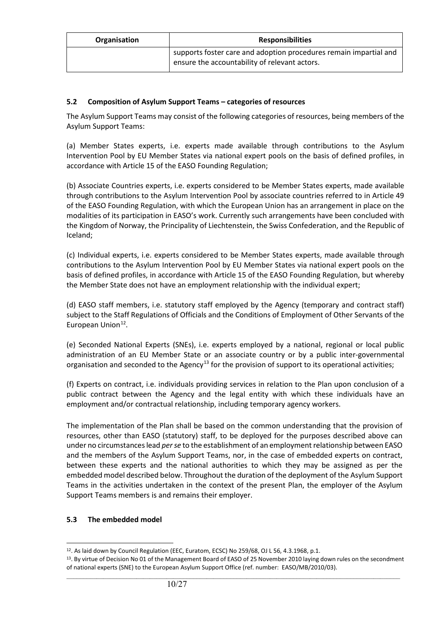| Organisation | <b>Responsibilities</b>                                                                                            |
|--------------|--------------------------------------------------------------------------------------------------------------------|
|              | supports foster care and adoption procedures remain impartial and<br>ensure the accountability of relevant actors. |

#### **5.2 Composition of Asylum Support Teams – categories of resources**

The Asylum Support Teams may consist of the following categories of resources, being members of the Asylum Support Teams:

(a) Member States experts, i.e. experts made available through contributions to the Asylum Intervention Pool by EU Member States via national expert pools on the basis of defined profiles, in accordance with Article 15 of the EASO Founding Regulation;

(b) Associate Countries experts, i.e. experts considered to be Member States experts, made available through contributions to the Asylum Intervention Pool by associate countries referred to in Article 49 of the EASO Founding Regulation, with which the European Union has an arrangement in place on the modalities of its participation in EASO's work. Currently such arrangements have been concluded with the Kingdom of Norway, the Principality of Liechtenstein, the Swiss Confederation, and the Republic of Iceland;

(c) Individual experts, i.e. experts considered to be Member States experts, made available through contributions to the Asylum Intervention Pool by EU Member States via national expert pools on the basis of defined profiles, in accordance with Article 15 of the EASO Founding Regulation, but whereby the Member State does not have an employment relationship with the individual expert;

(d) EASO staff members, i.e. statutory staff employed by the Agency (temporary and contract staff) subject to the Staff Regulations of Officials and the Conditions of Employment of Other Servants of the European Union<sup>12</sup>.

(e) Seconded National Experts (SNEs), i.e. experts employed by a national, regional or local public administration of an EU Member State or an associate country or by a public inter-governmental organisation and seconded to the Agency<sup>[13](#page-9-1)</sup> for the provision of support to its operational activities;

(f) Experts on contract, i.e. individuals providing services in relation to the Plan upon conclusion of a public contract between the Agency and the legal entity with which these individuals have an employment and/or contractual relationship, including temporary agency workers.

The implementation of the Plan shall be based on the common understanding that the provision of resources, other than EASO (statutory) staff, to be deployed for the purposes described above can under no circumstances lead *per se* to the establishment of an employment relationship between EASO and the members of the Asylum Support Teams, nor, in the case of embedded experts on contract, between these experts and the national authorities to which they may be assigned as per the embedded model described below. Throughout the duration of the deployment of the Asylum Support Teams in the activities undertaken in the context of the present Plan, the employer of the Asylum Support Teams members is and remains their employer.

#### **5.3 The embedded model**

 $\overline{a}$ 12. As laid down by Council Regulation (EEC, Euratom, ECSC) No 259/68, OJ L 56, 4.3.1968, p.1.

<span id="page-9-1"></span><span id="page-9-0"></span> $\_$  , and the set of the set of the set of the set of the set of the set of the set of the set of the set of the set of the set of the set of the set of the set of the set of the set of the set of the set of the set of th <sup>13</sup>. By virtue of Decision No 01 of the Management Board of EASO of 25 November 2010 laying down rules on the secondment of national experts (SNE) to the European Asylum Support Office (ref. number: EASO/MB/2010/03).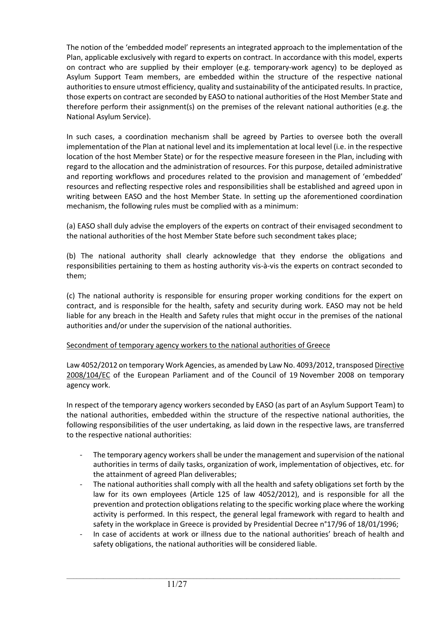The notion of the 'embedded model' represents an integrated approach to the implementation of the Plan, applicable exclusively with regard to experts on contract. In accordance with this model, experts on contract who are supplied by their employer (e.g. temporary-work agency) to be deployed as Asylum Support Team members, are embedded within the structure of the respective national authoritiesto ensure utmost efficiency, quality and sustainability of the anticipated results. In practice, those experts on contract are seconded by EASO to national authorities of the Host Member State and therefore perform their assignment(s) on the premises of the relevant national authorities (e.g. the National Asylum Service).

In such cases, a coordination mechanism shall be agreed by Parties to oversee both the overall implementation of the Plan at national level and its implementation at local level (i.e. in the respective location of the host Member State) or for the respective measure foreseen in the Plan, including with regard to the allocation and the administration of resources. For this purpose, detailed administrative and reporting workflows and procedures related to the provision and management of 'embedded' resources and reflecting respective roles and responsibilities shall be established and agreed upon in writing between EASO and the host Member State. In setting up the aforementioned coordination mechanism, the following rules must be complied with as a minimum:

(a) EASO shall duly advise the employers of the experts on contract of their envisaged secondment to the national authorities of the host Member State before such secondment takes place;

(b) The national authority shall clearly acknowledge that they endorse the obligations and responsibilities pertaining to them as hosting authority vis-à-vis the experts on contract seconded to them;

(c) The national authority is responsible for ensuring proper working conditions for the expert on contract, and is responsible for the health, safety and security during work. EASO may not be held liable for any breach in the Health and Safety rules that might occur in the premises of the national authorities and/or under the supervision of the national authorities.

#### Secondment of temporary agency workers to the national authorities of Greece

Law 4052/2012 on temporary Work Agencies, as amended by Law No. 4093/2012, transposed Directive 2008/104/EC of the European Parliament and of the Council of 19 November 2008 on temporary agency work.

In respect of the temporary agency workers seconded by EASO (as part of an Asylum Support Team) to the national authorities, embedded within the structure of the respective national authorities, the following responsibilities of the user undertaking, as laid down in the respective laws, are transferred to the respective national authorities:

- The temporary agency workers shall be under the management and supervision of the national authorities in terms of daily tasks, organization of work, implementation of objectives, etc. for the attainment of agreed Plan deliverables;
- The national authorities shall comply with all the health and safety obligations set forth by the law for its own employees (Article 125 of law 4052/2012), and is responsible for all the prevention and protection obligations relating to the specific working place where the working activity is performed. In this respect, the general legal framework with regard to health and safety in the workplace in Greece is provided by Presidential Decree n°17/96 of 18/01/1996;
- In case of accidents at work or illness due to the national authorities' breach of health and safety obligations, the national authorities will be considered liable.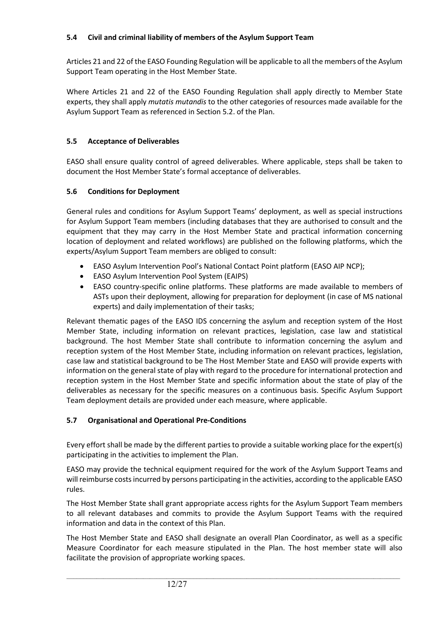### **5.4 Civil and criminal liability of members of the Asylum Support Team**

Articles 21 and 22 of the EASO Founding Regulation will be applicable to all the members of the Asylum Support Team operating in the Host Member State.

Where Articles 21 and 22 of the EASO Founding Regulation shall apply directly to Member State experts, they shall apply *mutatis mutandis* to the other categories of resources made available for the Asylum Support Team as referenced in Section 5.2. of the Plan.

### **5.5 Acceptance of Deliverables**

EASO shall ensure quality control of agreed deliverables. Where applicable, steps shall be taken to document the Host Member State's formal acceptance of deliverables.

#### **5.6 Conditions for Deployment**

General rules and conditions for Asylum Support Teams' deployment, as well as special instructions for Asylum Support Team members (including databases that they are authorised to consult and the equipment that they may carry in the Host Member State and practical information concerning location of deployment and related workflows) are published on the following platforms, which the experts/Asylum Support Team members are obliged to consult:

- EASO Asylum Intervention Pool's National Contact Point platform (EASO AIP NCP);
- EASO Asylum Intervention Pool System (EAIPS)
- EASO country-specific online platforms. These platforms are made available to members of ASTs upon their deployment, allowing for preparation for deployment (in case of MS national experts) and daily implementation of their tasks;

Relevant thematic pages of the EASO IDS concerning the asylum and reception system of the Host Member State, including information on relevant practices, legislation, case law and statistical background. The host Member State shall contribute to information concerning the asylum and reception system of the Host Member State, including information on relevant practices, legislation, case law and statistical background to be The Host Member State and EASO will provide experts with information on the general state of play with regard to the procedure for international protection and reception system in the Host Member State and specific information about the state of play of the deliverables as necessary for the specific measures on a continuous basis. Specific Asylum Support Team deployment details are provided under each measure, where applicable.

### **5.7 Organisational and Operational Pre-Conditions**

Every effort shall be made by the different parties to provide a suitable working place for the expert(s) participating in the activities to implement the Plan.

EASO may provide the technical equipment required for the work of the Asylum Support Teams and will reimburse costs incurred by persons participating in the activities, according to the applicable EASO rules.

The Host Member State shall grant appropriate access rights for the Asylum Support Team members to all relevant databases and commits to provide the Asylum Support Teams with the required information and data in the context of this Plan.

The Host Member State and EASO shall designate an overall Plan Coordinator, as well as a specific Measure Coordinator for each measure stipulated in the Plan. The host member state will also facilitate the provision of appropriate working spaces.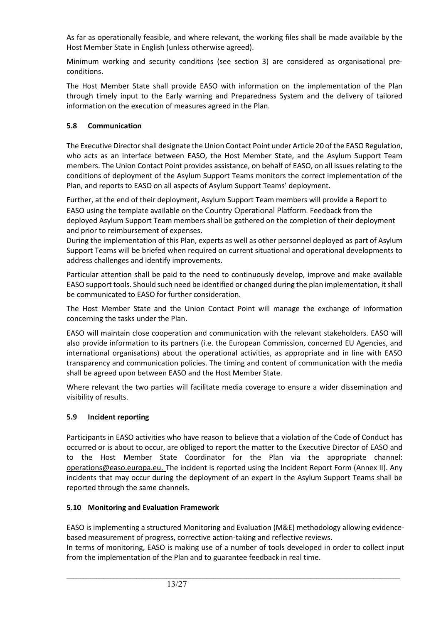As far as operationally feasible, and where relevant, the working files shall be made available by the Host Member State in English (unless otherwise agreed).

Minimum working and security conditions (see section 3) are considered as organisational preconditions.

The Host Member State shall provide EASO with information on the implementation of the Plan through timely input to the Early warning and Preparedness System and the delivery of tailored information on the execution of measures agreed in the Plan.

## **5.8 Communication**

The Executive Director shall designate the Union Contact Point under Article 20 of the EASO Regulation, who acts as an interface between EASO, the Host Member State, and the Asylum Support Team members. The Union Contact Point provides assistance, on behalf of EASO, on all issues relating to the conditions of deployment of the Asylum Support Teams monitors the correct implementation of the Plan, and reports to EASO on all aspects of Asylum Support Teams' deployment.

Further, at the end of their deployment, Asylum Support Team members will provide a Report to EASO using the template available on the Country Operational Platform. Feedback from the deployed Asylum Support Team members shall be gathered on the completion of their deployment and prior to reimbursement of expenses.

During the implementation of this Plan, experts as well as other personnel deployed as part of Asylum Support Teams will be briefed when required on current situational and operational developments to address challenges and identify improvements.

Particular attention shall be paid to the need to continuously develop, improve and make available EASO support tools. Should such need be identified or changed during the plan implementation, it shall be communicated to EASO for further consideration.

The Host Member State and the Union Contact Point will manage the exchange of information concerning the tasks under the Plan.

EASO will maintain close cooperation and communication with the relevant stakeholders. EASO will also provide information to its partners (i.e. the European Commission, concerned EU Agencies, and international organisations) about the operational activities, as appropriate and in line with EASO transparency and communication policies. The timing and content of communication with the media shall be agreed upon between EASO and the Host Member State.

Where relevant the two parties will facilitate media coverage to ensure a wider dissemination and visibility of results.

# **5.9 Incident reporting**

Participants in EASO activities who have reason to believe that a violation of the Code of Conduct has occurred or is about to occur, are obliged to report the matter to the Executive Director of EASO and to the Host Member State Coordinator for the Plan via the appropriate [channel:](mailto:channel:%20%20%20operations@easo.europa.eu)  [operations@easo.europa.eu](mailto:channel:%20%20%20operations@easo.europa.eu). The incident is reported using the Incident Report Form (Annex II). Any incidents that may occur during the deployment of an expert in the Asylum Support Teams shall be reported through the same channels.

### **5.10 Monitoring and Evaluation Framework**

EASO is implementing a structured Monitoring and Evaluation (M&E) methodology allowing evidencebased measurement of progress, corrective action-taking and reflective reviews.

In terms of monitoring, EASO is making use of a number of tools developed in order to collect input from the implementation of the Plan and to guarantee feedback in real time.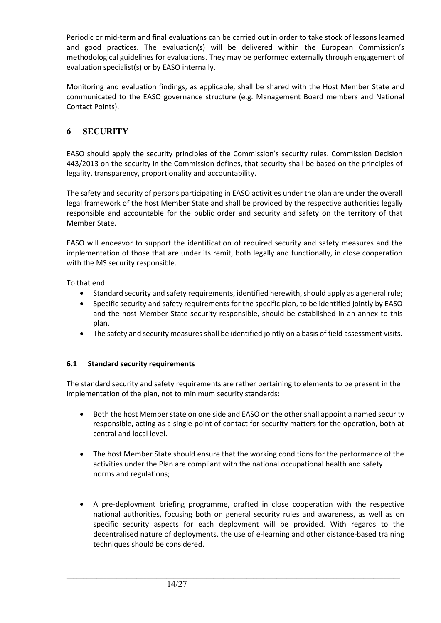Periodic or mid-term and final evaluations can be carried out in order to take stock of lessons learned and good practices. The evaluation(s) will be delivered within the European Commission's methodological guidelines for evaluations. They may be performed externally through engagement of evaluation specialist(s) or by EASO internally.

Monitoring and evaluation findings, as applicable, shall be shared with the Host Member State and communicated to the EASO governance structure (e.g. Management Board members and National Contact Points).

# **6 SECURITY**

EASO should apply the security principles of the Commission's security rules. Commission Decision 443/2013 on the security in the Commission defines, that security shall be based on the principles of legality, transparency, proportionality and accountability.

The safety and security of persons participating in EASO activities under the plan are under the overall legal framework of the host Member State and shall be provided by the respective authorities legally responsible and accountable for the public order and security and safety on the territory of that Member State.

EASO will endeavor to support the identification of required security and safety measures and the implementation of those that are under its remit, both legally and functionally, in close cooperation with the MS security responsible.

To that end:

- Standard security and safety requirements, identified herewith, should apply as a general rule;
- Specific security and safety requirements for the specific plan, to be identified jointly by EASO and the host Member State security responsible, should be established in an annex to this plan.
- The safety and security measures shall be identified jointly on a basis of field assessment visits.

### **6.1 Standard security requirements**

The standard security and safety requirements are rather pertaining to elements to be present in the implementation of the plan, not to minimum security standards:

- Both the host Member state on one side and EASO on the other shall appoint a named security responsible, acting as a single point of contact for security matters for the operation, both at central and local level.
- The host Member State should ensure that the working conditions for the performance of the activities under the Plan are compliant with the national occupational health and safety norms and regulations;
- A pre-deployment briefing programme, drafted in close cooperation with the respective national authorities, focusing both on general security rules and awareness, as well as on specific security aspects for each deployment will be provided. With regards to the decentralised nature of deployments, the use of e-learning and other distance-based training techniques should be considered.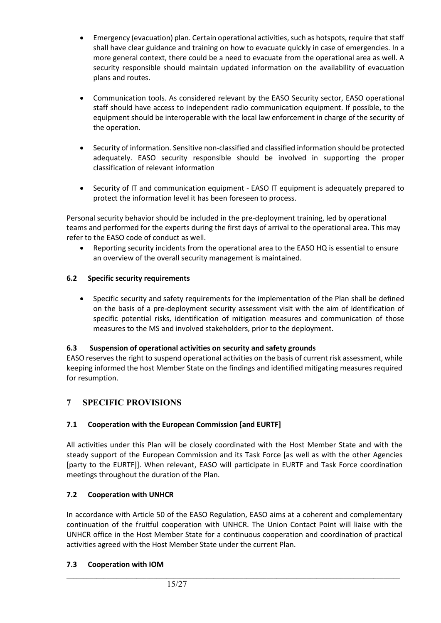- Emergency (evacuation) plan. Certain operational activities, such as hotspots, require that staff shall have clear guidance and training on how to evacuate quickly in case of emergencies. In a more general context, there could be a need to evacuate from the operational area as well. A security responsible should maintain updated information on the availability of evacuation plans and routes.
- Communication tools. As considered relevant by the EASO Security sector, EASO operational staff should have access to independent radio communication equipment. If possible, to the equipment should be interoperable with the local law enforcement in charge of the security of the operation.
- Security of information. Sensitive non-classified and classified information should be protected adequately. EASO security responsible should be involved in supporting the proper classification of relevant information
- Security of IT and communication equipment EASO IT equipment is adequately prepared to protect the information level it has been foreseen to process.

Personal security behavior should be included in the pre-deployment training, led by operational teams and performed for the experts during the first days of arrival to the operational area. This may refer to the EASO code of conduct as well.

• Reporting security incidents from the operational area to the EASO HQ is essential to ensure an overview of the overall security management is maintained.

### **6.2 Specific security requirements**

• Specific security and safety requirements for the implementation of the Plan shall be defined on the basis of a pre-deployment security assessment visit with the aim of identification of specific potential risks, identification of mitigation measures and communication of those measures to the MS and involved stakeholders, prior to the deployment.

### **6.3 Suspension of operational activities on security and safety grounds**

EASO reserves the right to suspend operational activities on the basis of current risk assessment, while keeping informed the host Member State on the findings and identified mitigating measures required for resumption.

# **7 SPECIFIC PROVISIONS**

# **7.1 Cooperation with the European Commission [and EURTF]**

All activities under this Plan will be closely coordinated with the Host Member State and with the steady support of the European Commission and its Task Force [as well as with the other Agencies [party to the EURTF]]. When relevant, EASO will participate in EURTF and Task Force coordination meetings throughout the duration of the Plan.

### **7.2 Cooperation with UNHCR**

In accordance with Article 50 of the EASO Regulation, EASO aims at a coherent and complementary continuation of the fruitful cooperation with UNHCR. The Union Contact Point will liaise with the UNHCR office in the Host Member State for a continuous cooperation and coordination of practical activities agreed with the Host Member State under the current Plan.

 $\_$  , and the set of the set of the set of the set of the set of the set of the set of the set of the set of the set of the set of the set of the set of the set of the set of the set of the set of the set of the set of th

### **7.3 Cooperation with IOM**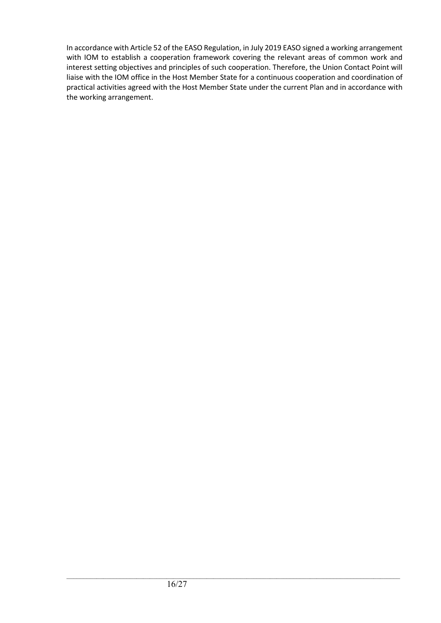In accordance with Article 52 of the EASO Regulation, in July 2019 EASO signed a working arrangement with IOM to establish a cooperation framework covering the relevant areas of common work and interest setting objectives and principles of such cooperation. Therefore, the Union Contact Point will liaise with the IOM office in the Host Member State for a continuous cooperation and coordination of practical activities agreed with the Host Member State under the current Plan and in accordance with the working arrangement.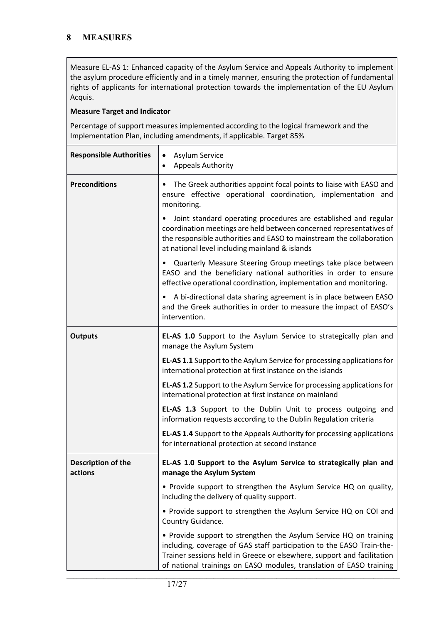Measure EL-AS 1: Enhanced capacity of the Asylum Service and Appeals Authority to implement the asylum procedure efficiently and in a timely manner, ensuring the protection of fundamental rights of applicants for international protection towards the implementation of the EU Asylum Acquis.

#### **Measure Target and Indicator**

Percentage of support measures implemented according to the logical framework and the Implementation Plan, including amendments, if applicable. Target 85%

| <b>Responsible Authorities</b> | Asylum Service<br>$\bullet$<br><b>Appeals Authority</b><br>$\bullet$                                                                                                                                                                                                                        |
|--------------------------------|---------------------------------------------------------------------------------------------------------------------------------------------------------------------------------------------------------------------------------------------------------------------------------------------|
| <b>Preconditions</b>           | The Greek authorities appoint focal points to liaise with EASO and<br>ensure effective operational coordination, implementation and<br>monitoring.                                                                                                                                          |
|                                | Joint standard operating procedures are established and regular<br>coordination meetings are held between concerned representatives of<br>the responsible authorities and EASO to mainstream the collaboration<br>at national level including mainland & islands                            |
|                                | Quarterly Measure Steering Group meetings take place between<br>EASO and the beneficiary national authorities in order to ensure<br>effective operational coordination, implementation and monitoring.                                                                                      |
|                                | A bi-directional data sharing agreement is in place between EASO<br>$\bullet$<br>and the Greek authorities in order to measure the impact of EASO's<br>intervention.                                                                                                                        |
| <b>Outputs</b>                 | EL-AS 1.0 Support to the Asylum Service to strategically plan and<br>manage the Asylum System                                                                                                                                                                                               |
|                                | EL-AS 1.1 Support to the Asylum Service for processing applications for<br>international protection at first instance on the islands                                                                                                                                                        |
|                                | EL-AS 1.2 Support to the Asylum Service for processing applications for<br>international protection at first instance on mainland                                                                                                                                                           |
|                                | EL-AS 1.3 Support to the Dublin Unit to process outgoing and<br>information requests according to the Dublin Regulation criteria                                                                                                                                                            |
|                                | <b>EL-AS 1.4</b> Support to the Appeals Authority for processing applications<br>for international protection at second instance                                                                                                                                                            |
| Description of the<br>actions  | EL-AS 1.0 Support to the Asylum Service to strategically plan and<br>manage the Asylum System                                                                                                                                                                                               |
|                                | • Provide support to strengthen the Asylum Service HQ on quality,<br>including the delivery of quality support.                                                                                                                                                                             |
|                                | • Provide support to strengthen the Asylum Service HQ on COI and<br>Country Guidance.                                                                                                                                                                                                       |
|                                | • Provide support to strengthen the Asylum Service HQ on training<br>including, coverage of GAS staff participation to the EASO Train-the-<br>Trainer sessions held in Greece or elsewhere, support and facilitation<br>of national trainings on EASO modules, translation of EASO training |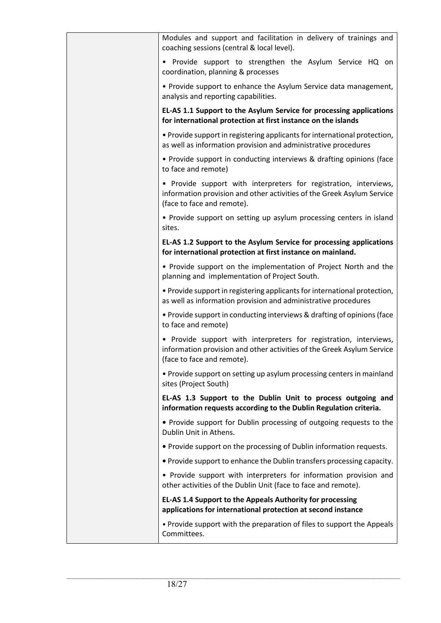| Modules and support and facilitation in delivery of trainings and<br>coaching sessions (central & local level).                                                           |
|---------------------------------------------------------------------------------------------------------------------------------------------------------------------------|
| • Provide support to strengthen the Asylum Service HQ on<br>coordination, planning & processes                                                                            |
| • Provide support to enhance the Asylum Service data management,<br>analysis and reporting capabilities.                                                                  |
| EL-AS 1.1 Support to the Asylum Service for processing applications<br>for international protection at first instance on the islands                                      |
| . Provide support in registering applicants for international protection,<br>as well as information provision and administrative procedures                               |
| • Provide support in conducting interviews & drafting opinions (face<br>to face and remote)                                                                               |
| • Provide support with interpreters for registration, interviews,<br>information provision and other activities of the Greek Asylum Service<br>(face to face and remote). |
| • Provide support on setting up asylum processing centers in island<br>sites.                                                                                             |
| EL-AS 1.2 Support to the Asylum Service for processing applications<br>for international protection at first instance on mainland.                                        |
| • Provide support on the implementation of Project North and the<br>planning and implementation of Project South.                                                         |
| . Provide support in registering applicants for international protection,<br>as well as information provision and administrative procedures                               |
| • Provide support in conducting interviews & drafting of opinions (face<br>to face and remote)                                                                            |
| • Provide support with interpreters for registration, interviews,<br>information provision and other activities of the Greek Asylum Service<br>(face to face and remote). |
| • Provide support on setting up asylum processing centers in mainland<br>sites (Project South)                                                                            |
| EL-AS 1.3 Support to the Dublin Unit to process outgoing and<br>information requests according to the Dublin Regulation criteria.                                         |
| • Provide support for Dublin processing of outgoing requests to the<br>Dublin Unit in Athens.                                                                             |
| • Provide support on the processing of Dublin information requests.                                                                                                       |
| . Provide support to enhance the Dublin transfers processing capacity.                                                                                                    |
| • Provide support with interpreters for information provision and<br>other activities of the Dublin Unit (face to face and remote).                                       |
| EL-AS 1.4 Support to the Appeals Authority for processing<br>applications for international protection at second instance                                                 |
| • Provide support with the preparation of files to support the Appeals<br>Committees.                                                                                     |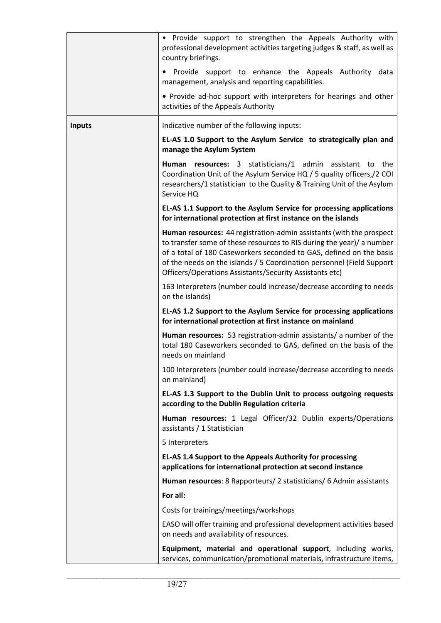|               | • Provide support to strengthen the Appeals Authority with<br>professional development activities targeting judges & staff, as well as<br>country briefings.                                                                                                                                                                                             |
|---------------|----------------------------------------------------------------------------------------------------------------------------------------------------------------------------------------------------------------------------------------------------------------------------------------------------------------------------------------------------------|
|               | • Provide support to enhance the Appeals Authority data<br>management, analysis and reporting capabilities.                                                                                                                                                                                                                                              |
|               | • Provide ad-hoc support with interpreters for hearings and other<br>activities of the Appeals Authority                                                                                                                                                                                                                                                 |
| <b>Inputs</b> | Indicative number of the following inputs:                                                                                                                                                                                                                                                                                                               |
|               | EL-AS 1.0 Support to the Asylum Service to strategically plan and<br>manage the Asylum System                                                                                                                                                                                                                                                            |
|               | Human resources: 3 statisticians/1 admin assistant to the<br>Coordination Unit of the Asylum Service HQ / 5 quality officers, / 2 COI<br>researchers/1 statistician to the Quality & Training Unit of the Asylum<br>Service HQ                                                                                                                           |
|               | EL-AS 1.1 Support to the Asylum Service for processing applications<br>for international protection at first instance on the islands                                                                                                                                                                                                                     |
|               | Human resources: 44 registration-admin assistants (with the prospect<br>to transfer some of these resources to RIS during the year)/ a number<br>of a total of 180 Caseworkers seconded to GAS, defined on the basis<br>of the needs on the islands / 5 Coordination personnel (Field Support<br>Officers/Operations Assistants/Security Assistants etc) |
|               | 163 Interpreters (number could increase/decrease according to needs<br>on the islands)                                                                                                                                                                                                                                                                   |
|               | EL-AS 1.2 Support to the Asylum Service for processing applications<br>for international protection at first instance on mainland                                                                                                                                                                                                                        |
|               | Human resources: 53 registration-admin assistants/ a number of the<br>total 180 Caseworkers seconded to GAS, defined on the basis of the<br>needs on mainland                                                                                                                                                                                            |
|               | 100 Interpreters (number could increase/decrease according to needs<br>on mainland)                                                                                                                                                                                                                                                                      |
|               | EL-AS 1.3 Support to the Dublin Unit to process outgoing requests<br>according to the Dublin Regulation criteria                                                                                                                                                                                                                                         |
|               | Human resources: 1 Legal Officer/32 Dublin experts/Operations<br>assistants / 1 Statistician                                                                                                                                                                                                                                                             |
|               | 5 Interpreters                                                                                                                                                                                                                                                                                                                                           |
|               | EL-AS 1.4 Support to the Appeals Authority for processing<br>applications for international protection at second instance                                                                                                                                                                                                                                |
|               | Human resources: 8 Rapporteurs/ 2 statisticians/ 6 Admin assistants                                                                                                                                                                                                                                                                                      |
|               | For all:                                                                                                                                                                                                                                                                                                                                                 |
|               | Costs for trainings/meetings/workshops                                                                                                                                                                                                                                                                                                                   |
|               | EASO will offer training and professional development activities based<br>on needs and availability of resources.                                                                                                                                                                                                                                        |
|               | Equipment, material and operational support, including works,<br>services, communication/promotional materials, infrastructure items,                                                                                                                                                                                                                    |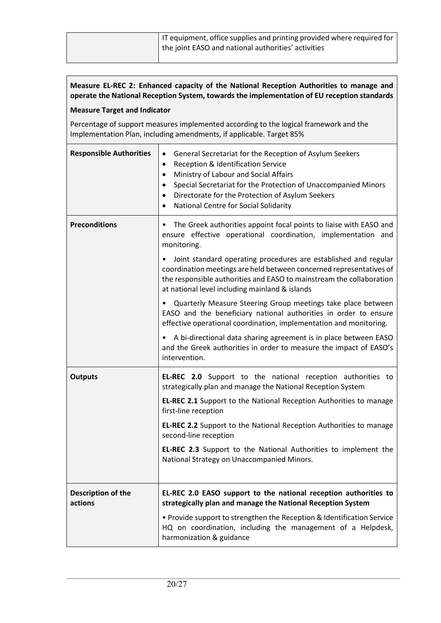# **Measure EL-REC 2: Enhanced capacity of the National Reception Authorities to manage and operate the National Reception System, towards the implementation of EU reception standards**

#### **Measure Target and Indicator**

Percentage of support measures implemented according to the logical framework and the Implementation Plan, including amendments, if applicable. Target 85%

| <b>Responsible Authorities</b> | General Secretariat for the Reception of Asylum Seekers<br>$\bullet$<br>Reception & Identification Service<br>$\bullet$<br>Ministry of Labour and Social Affairs<br>$\bullet$<br>Special Secretariat for the Protection of Unaccompanied Minors<br>$\bullet$<br>Directorate for the Protection of Asylum Seekers<br>$\bullet$<br>National Centre for Social Solidarity<br>$\bullet$ |
|--------------------------------|-------------------------------------------------------------------------------------------------------------------------------------------------------------------------------------------------------------------------------------------------------------------------------------------------------------------------------------------------------------------------------------|
| <b>Preconditions</b>           | The Greek authorities appoint focal points to liaise with EASO and<br>$\bullet$<br>ensure effective operational coordination, implementation and<br>monitoring.<br>Joint standard operating procedures are established and regular<br>$\bullet$<br>coordination meetings are held between concerned representatives of                                                              |
|                                | the responsible authorities and EASO to mainstream the collaboration<br>at national level including mainland & islands                                                                                                                                                                                                                                                              |
|                                | • Quarterly Measure Steering Group meetings take place between<br>EASO and the beneficiary national authorities in order to ensure<br>effective operational coordination, implementation and monitoring.                                                                                                                                                                            |
|                                | A bi-directional data sharing agreement is in place between EASO<br>$\bullet$<br>and the Greek authorities in order to measure the impact of EASO's<br>intervention.                                                                                                                                                                                                                |
| <b>Outputs</b>                 | <b>EL-REC 2.0</b> Support to the national reception authorities to<br>strategically plan and manage the National Reception System                                                                                                                                                                                                                                                   |
|                                | <b>EL-REC 2.1</b> Support to the National Reception Authorities to manage<br>first-line reception                                                                                                                                                                                                                                                                                   |
|                                | EL-REC 2.2 Support to the National Reception Authorities to manage<br>second-line reception                                                                                                                                                                                                                                                                                         |
|                                | EL-REC 2.3 Support to the National Authorities to implement the<br>National Strategy on Unaccompanied Minors.                                                                                                                                                                                                                                                                       |
|                                |                                                                                                                                                                                                                                                                                                                                                                                     |
| Description of the<br>actions  | EL-REC 2.0 EASO support to the national reception authorities to<br>strategically plan and manage the National Reception System                                                                                                                                                                                                                                                     |
|                                | • Provide support to strengthen the Reception & Identification Service<br>HQ on coordination, including the management of a Helpdesk,<br>harmonization & guidance                                                                                                                                                                                                                   |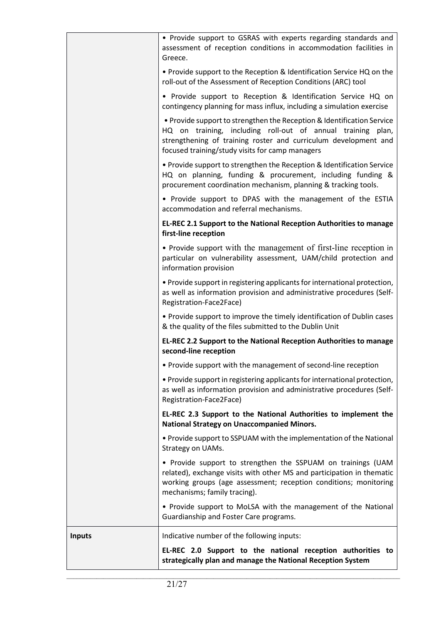|               | • Provide support to GSRAS with experts regarding standards and<br>assessment of reception conditions in accommodation facilities in<br>Greece.                                                                                                             |
|---------------|-------------------------------------------------------------------------------------------------------------------------------------------------------------------------------------------------------------------------------------------------------------|
|               | • Provide support to the Reception & Identification Service HQ on the<br>roll-out of the Assessment of Reception Conditions (ARC) tool                                                                                                                      |
|               | • Provide support to Reception & Identification Service HQ on<br>contingency planning for mass influx, including a simulation exercise                                                                                                                      |
|               | • Provide support to strengthen the Reception & Identification Service<br>HQ on training, including roll-out of annual training plan,<br>strengthening of training roster and curriculum development and<br>focused training/study visits for camp managers |
|               | . Provide support to strengthen the Reception & Identification Service<br>HQ on planning, funding & procurement, including funding &<br>procurement coordination mechanism, planning & tracking tools.                                                      |
|               | • Provide support to DPAS with the management of the ESTIA<br>accommodation and referral mechanisms.                                                                                                                                                        |
|               | EL-REC 2.1 Support to the National Reception Authorities to manage<br>first-line reception                                                                                                                                                                  |
|               | • Provide support with the management of first-line reception in<br>particular on vulnerability assessment, UAM/child protection and<br>information provision                                                                                               |
|               | . Provide support in registering applicants for international protection,<br>as well as information provision and administrative procedures (Self-<br>Registration-Face2Face)                                                                               |
|               | • Provide support to improve the timely identification of Dublin cases<br>& the quality of the files submitted to the Dublin Unit                                                                                                                           |
|               | EL-REC 2.2 Support to the National Reception Authorities to manage<br>second-line reception                                                                                                                                                                 |
|               | • Provide support with the management of second-line reception                                                                                                                                                                                              |
|               | . Provide support in registering applicants for international protection,<br>as well as information provision and administrative procedures (Self-<br>Registration-Face2Face)                                                                               |
|               | EL-REC 2.3 Support to the National Authorities to implement the<br><b>National Strategy on Unaccompanied Minors.</b>                                                                                                                                        |
|               | • Provide support to SSPUAM with the implementation of the National<br>Strategy on UAMs.                                                                                                                                                                    |
|               | • Provide support to strengthen the SSPUAM on trainings (UAM<br>related), exchange visits with other MS and participation in thematic<br>working groups (age assessment; reception conditions; monitoring<br>mechanisms; family tracing).                   |
|               | • Provide support to MoLSA with the management of the National<br>Guardianship and Foster Care programs.                                                                                                                                                    |
| <b>Inputs</b> | Indicative number of the following inputs:                                                                                                                                                                                                                  |
|               | EL-REC 2.0 Support to the national reception authorities to<br>strategically plan and manage the National Reception System                                                                                                                                  |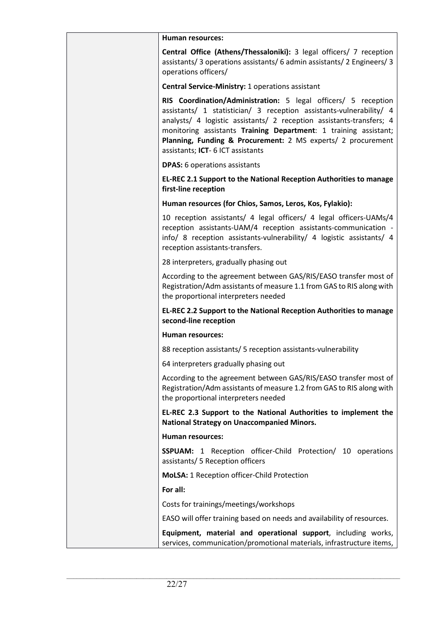| Human resources:                                                                                                                                                                                                                                                                                                                                                                       |
|----------------------------------------------------------------------------------------------------------------------------------------------------------------------------------------------------------------------------------------------------------------------------------------------------------------------------------------------------------------------------------------|
| Central Office (Athens/Thessaloniki): 3 legal officers/ 7 reception<br>assistants/ 3 operations assistants/ 6 admin assistants/ 2 Engineers/ 3<br>operations officers/                                                                                                                                                                                                                 |
| Central Service-Ministry: 1 operations assistant                                                                                                                                                                                                                                                                                                                                       |
| RIS Coordination/Administration: 5 legal officers/ 5 reception<br>assistants/ 1 statistician/ 3 reception assistants-vulnerability/ 4<br>analysts/ 4 logistic assistants/ 2 reception assistants-transfers; 4<br>monitoring assistants Training Department: 1 training assistant;<br>Planning, Funding & Procurement: 2 MS experts/ 2 procurement<br>assistants; ICT- 6 ICT assistants |
| <b>DPAS:</b> 6 operations assistants                                                                                                                                                                                                                                                                                                                                                   |
| EL-REC 2.1 Support to the National Reception Authorities to manage<br>first-line reception                                                                                                                                                                                                                                                                                             |
| Human resources (for Chios, Samos, Leros, Kos, Fylakio):                                                                                                                                                                                                                                                                                                                               |
| 10 reception assistants/ 4 legal officers/ 4 legal officers-UAMs/4<br>reception assistants-UAM/4 reception assistants-communication -<br>info/ 8 reception assistants-vulnerability/ 4 logistic assistants/ 4<br>reception assistants-transfers.                                                                                                                                       |
| 28 interpreters, gradually phasing out                                                                                                                                                                                                                                                                                                                                                 |
| According to the agreement between GAS/RIS/EASO transfer most of<br>Registration/Adm assistants of measure 1.1 from GAS to RIS along with<br>the proportional interpreters needed                                                                                                                                                                                                      |
| EL-REC 2.2 Support to the National Reception Authorities to manage<br>second-line reception                                                                                                                                                                                                                                                                                            |
| <b>Human resources:</b>                                                                                                                                                                                                                                                                                                                                                                |
| 88 reception assistants/ 5 reception assistants-vulnerability                                                                                                                                                                                                                                                                                                                          |
| 64 interpreters gradually phasing out                                                                                                                                                                                                                                                                                                                                                  |
| According to the agreement between GAS/RIS/EASO transfer most of<br>Registration/Adm assistants of measure 1.2 from GAS to RIS along with<br>the proportional interpreters needed                                                                                                                                                                                                      |
| EL-REC 2.3 Support to the National Authorities to implement the<br><b>National Strategy on Unaccompanied Minors.</b>                                                                                                                                                                                                                                                                   |
| <b>Human resources:</b>                                                                                                                                                                                                                                                                                                                                                                |
| <b>SSPUAM:</b> 1 Reception officer-Child Protection/ 10 operations<br>assistants/ 5 Reception officers                                                                                                                                                                                                                                                                                 |
| MoLSA: 1 Reception officer-Child Protection                                                                                                                                                                                                                                                                                                                                            |
| For all:                                                                                                                                                                                                                                                                                                                                                                               |
| Costs for trainings/meetings/workshops                                                                                                                                                                                                                                                                                                                                                 |
| EASO will offer training based on needs and availability of resources.                                                                                                                                                                                                                                                                                                                 |
| Equipment, material and operational support, including works,<br>services, communication/promotional materials, infrastructure items,                                                                                                                                                                                                                                                  |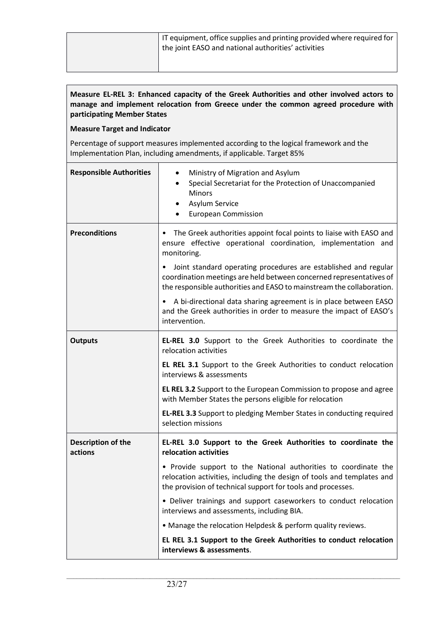### **Measure EL-REL 3: Enhanced capacity of the Greek Authorities and other involved actors to manage and implement relocation from Greece under the common agreed procedure with participating Member States**

#### **Measure Target and Indicator**

Percentage of support measures implemented according to the logical framework and the Implementation Plan, including amendments, if applicable. Target 85%

| <b>Responsible Authorities</b> | Ministry of Migration and Asylum<br>$\bullet$<br>Special Secretariat for the Protection of Unaccompanied<br>$\bullet$<br>Minors<br>Asylum Service<br>٠<br><b>European Commission</b><br>٠                                    |
|--------------------------------|------------------------------------------------------------------------------------------------------------------------------------------------------------------------------------------------------------------------------|
| <b>Preconditions</b>           | The Greek authorities appoint focal points to liaise with EASO and<br>ensure effective operational coordination, implementation and<br>monitoring.                                                                           |
|                                | Joint standard operating procedures are established and regular<br>$\bullet$<br>coordination meetings are held between concerned representatives of<br>the responsible authorities and EASO to mainstream the collaboration. |
|                                | • A bi-directional data sharing agreement is in place between EASO<br>and the Greek authorities in order to measure the impact of EASO's<br>intervention.                                                                    |
| <b>Outputs</b>                 | EL-REL 3.0 Support to the Greek Authorities to coordinate the<br>relocation activities                                                                                                                                       |
|                                | EL REL 3.1 Support to the Greek Authorities to conduct relocation<br>interviews & assessments                                                                                                                                |
|                                | <b>EL REL 3.2</b> Support to the European Commission to propose and agree<br>with Member States the persons eligible for relocation                                                                                          |
|                                | EL-REL 3.3 Support to pledging Member States in conducting required<br>selection missions                                                                                                                                    |
| Description of the<br>actions  | EL-REL 3.0 Support to the Greek Authorities to coordinate the<br>relocation activities                                                                                                                                       |
|                                | • Provide support to the National authorities to coordinate the<br>relocation activities, including the design of tools and templates and<br>the provision of technical support for tools and processes.                     |
|                                | • Deliver trainings and support caseworkers to conduct relocation<br>interviews and assessments, including BIA.                                                                                                              |
|                                | • Manage the relocation Helpdesk & perform quality reviews.                                                                                                                                                                  |
|                                | EL REL 3.1 Support to the Greek Authorities to conduct relocation<br>interviews & assessments.                                                                                                                               |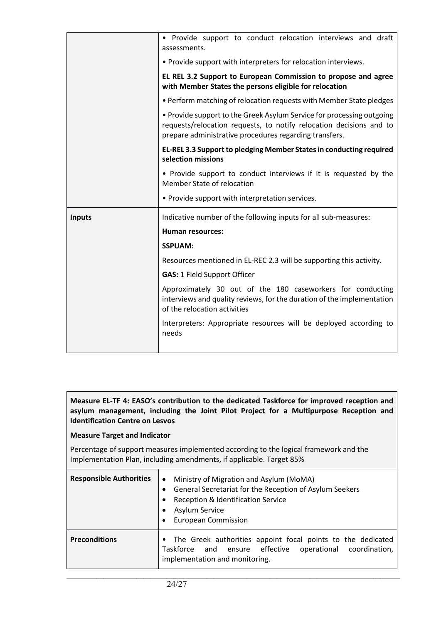|               | • Provide support to conduct relocation interviews and draft<br>assessments.                                                                                                                           |
|---------------|--------------------------------------------------------------------------------------------------------------------------------------------------------------------------------------------------------|
|               | • Provide support with interpreters for relocation interviews.                                                                                                                                         |
|               | EL REL 3.2 Support to European Commission to propose and agree<br>with Member States the persons eligible for relocation                                                                               |
|               | • Perform matching of relocation requests with Member State pledges                                                                                                                                    |
|               | • Provide support to the Greek Asylum Service for processing outgoing<br>requests/relocation requests, to notify relocation decisions and to<br>prepare administrative procedures regarding transfers. |
|               | EL-REL 3.3 Support to pledging Member States in conducting required<br>selection missions                                                                                                              |
|               | • Provide support to conduct interviews if it is requested by the<br>Member State of relocation                                                                                                        |
|               |                                                                                                                                                                                                        |
|               | • Provide support with interpretation services.                                                                                                                                                        |
| <b>Inputs</b> | Indicative number of the following inputs for all sub-measures:                                                                                                                                        |
|               | <b>Human resources:</b>                                                                                                                                                                                |
|               | <b>SSPUAM:</b>                                                                                                                                                                                         |
|               | Resources mentioned in EL-REC 2.3 will be supporting this activity.                                                                                                                                    |
|               | <b>GAS: 1 Field Support Officer</b>                                                                                                                                                                    |
|               | Approximately 30 out of the 180 caseworkers for conducting<br>interviews and quality reviews, for the duration of the implementation<br>of the relocation activities                                   |
|               | Interpreters: Appropriate resources will be deployed according to<br>needs                                                                                                                             |

#### **Measure EL-TF 4: EASO's contribution to the dedicated Taskforce for improved reception and asylum management, including the Joint Pilot Project for a Multipurpose Reception and Identification Centre on Lesvos**

#### **Measure Target and Indicator**

Percentage of support measures implemented according to the logical framework and the Implementation Plan, including amendments, if applicable. Target 85%

| <b>Responsible Authorities</b> | Ministry of Migration and Asylum (MoMA)<br>$\bullet$<br>General Secretariat for the Reception of Asylum Seekers<br>Reception & Identification Service<br>Asylum Service<br><b>European Commission</b> |
|--------------------------------|-------------------------------------------------------------------------------------------------------------------------------------------------------------------------------------------------------|
| <b>Preconditions</b>           | • The Greek authorities appoint focal points to the dedicated<br>Taskforce and ensure effective operational coordination,<br>implementation and monitoring.                                           |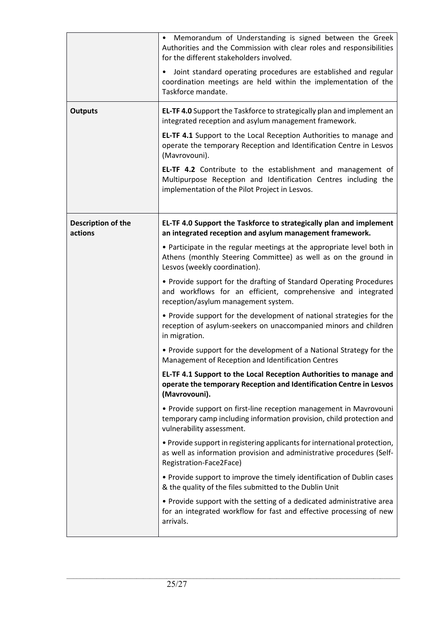|                               | Memorandum of Understanding is signed between the Greek<br>$\bullet$<br>Authorities and the Commission with clear roles and responsibilities<br>for the different stakeholders involved. |
|-------------------------------|------------------------------------------------------------------------------------------------------------------------------------------------------------------------------------------|
|                               | Joint standard operating procedures are established and regular<br>coordination meetings are held within the implementation of the<br>Taskforce mandate.                                 |
| <b>Outputs</b>                | EL-TF 4.0 Support the Taskforce to strategically plan and implement an<br>integrated reception and asylum management framework.                                                          |
|                               | EL-TF 4.1 Support to the Local Reception Authorities to manage and<br>operate the temporary Reception and Identification Centre in Lesvos<br>(Mavrovouni).                               |
|                               | EL-TF 4.2 Contribute to the establishment and management of<br>Multipurpose Reception and Identification Centres including the<br>implementation of the Pilot Project in Lesvos.         |
| Description of the<br>actions | EL-TF 4.0 Support the Taskforce to strategically plan and implement<br>an integrated reception and asylum management framework.                                                          |
|                               | • Participate in the regular meetings at the appropriate level both in<br>Athens (monthly Steering Committee) as well as on the ground in<br>Lesvos (weekly coordination).               |
|                               | • Provide support for the drafting of Standard Operating Procedures<br>and workflows for an efficient, comprehensive and integrated<br>reception/asylum management system.               |
|                               | • Provide support for the development of national strategies for the<br>reception of asylum-seekers on unaccompanied minors and children<br>in migration.                                |
|                               | • Provide support for the development of a National Strategy for the<br>Management of Reception and Identification Centres                                                               |
|                               | EL-TF 4.1 Support to the Local Reception Authorities to manage and<br>operate the temporary Reception and Identification Centre in Lesvos<br>(Mavrovouni).                               |
|                               | • Provide support on first-line reception management in Mavrovouni<br>temporary camp including information provision, child protection and<br>vulnerability assessment.                  |
|                               | . Provide support in registering applicants for international protection,<br>as well as information provision and administrative procedures (Self-<br>Registration-Face2Face)            |
|                               | • Provide support to improve the timely identification of Dublin cases<br>& the quality of the files submitted to the Dublin Unit                                                        |
|                               | • Provide support with the setting of a dedicated administrative area<br>for an integrated workflow for fast and effective processing of new<br>arrivals.                                |